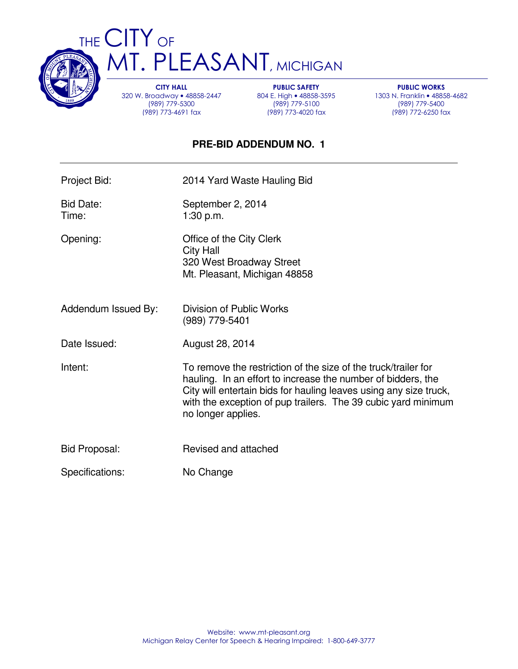

THE CITY OF T. PLEASANT, MICHIGAN

> CITY HALL 320 W. Broadway • 48858-2447 (989) 779-5300 (989) 773-4691 fax

PUBLIC SAFETY 804 E. High • 48858-3595 (989) 779-5100 (989) 773-4020 fax

PUBLIC WORKS 1303 N. Franklin • 48858-4682 (989) 779-5400 (989) 772-6250 fax

## **PRE-BID ADDENDUM NO. 1**

Project Bid: 2014 Yard Waste Hauling Bid

Bid Date: September 2, 2014 Time: 1:30 p.m.

Opening: Office of the City Clerk City Hall 320 West Broadway Street Mt. Pleasant, Michigan 48858

Addendum Issued By: Division of Public Works (989) 779-5401

Date Issued: August 28, 2014

Intent: To remove the restriction of the size of the truck/trailer for hauling. In an effort to increase the number of bidders, the City will entertain bids for hauling leaves using any size truck, with the exception of pup trailers. The 39 cubic yard minimum no longer applies.

- Bid Proposal: Revised and attached
- Specifications: No Change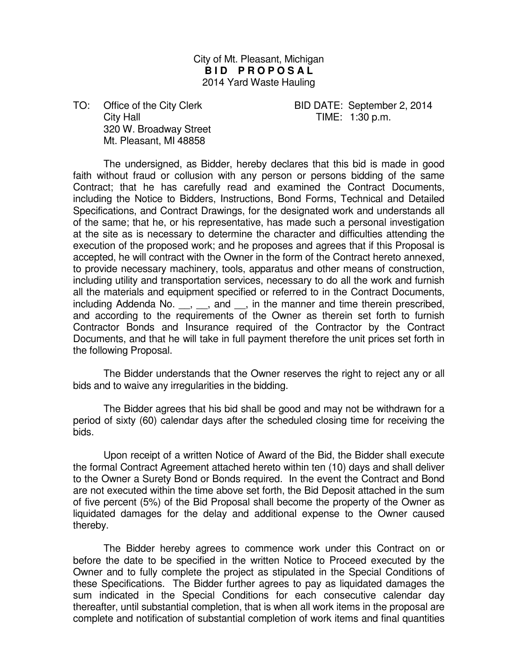City of Mt. Pleasant, Michigan **BID PROPOSAL** 2014 Yard Waste Hauling

TO: Office of the City Clerk BID DATE: September 2, 2014 City Hall **City Hall TIME:** 1:30 p.m. 320 W. Broadway Street Mt. Pleasant, MI 48858

 The undersigned, as Bidder, hereby declares that this bid is made in good faith without fraud or collusion with any person or persons bidding of the same Contract; that he has carefully read and examined the Contract Documents, including the Notice to Bidders, Instructions, Bond Forms, Technical and Detailed Specifications, and Contract Drawings, for the designated work and understands all of the same; that he, or his representative, has made such a personal investigation at the site as is necessary to determine the character and difficulties attending the execution of the proposed work; and he proposes and agrees that if this Proposal is accepted, he will contract with the Owner in the form of the Contract hereto annexed, to provide necessary machinery, tools, apparatus and other means of construction, including utility and transportation services, necessary to do all the work and furnish all the materials and equipment specified or referred to in the Contract Documents, including Addenda No.  $\,$ ,  $\,$ , and  $\,$ , in the manner and time therein prescribed, and according to the requirements of the Owner as therein set forth to furnish Contractor Bonds and Insurance required of the Contractor by the Contract Documents, and that he will take in full payment therefore the unit prices set forth in the following Proposal.

 The Bidder understands that the Owner reserves the right to reject any or all bids and to waive any irregularities in the bidding.

 The Bidder agrees that his bid shall be good and may not be withdrawn for a period of sixty (60) calendar days after the scheduled closing time for receiving the bids.

 Upon receipt of a written Notice of Award of the Bid, the Bidder shall execute the formal Contract Agreement attached hereto within ten (10) days and shall deliver to the Owner a Surety Bond or Bonds required. In the event the Contract and Bond are not executed within the time above set forth, the Bid Deposit attached in the sum of five percent (5%) of the Bid Proposal shall become the property of the Owner as liquidated damages for the delay and additional expense to the Owner caused thereby.

 The Bidder hereby agrees to commence work under this Contract on or before the date to be specified in the written Notice to Proceed executed by the Owner and to fully complete the project as stipulated in the Special Conditions of these Specifications. The Bidder further agrees to pay as liquidated damages the sum indicated in the Special Conditions for each consecutive calendar day thereafter, until substantial completion, that is when all work items in the proposal are complete and notification of substantial completion of work items and final quantities